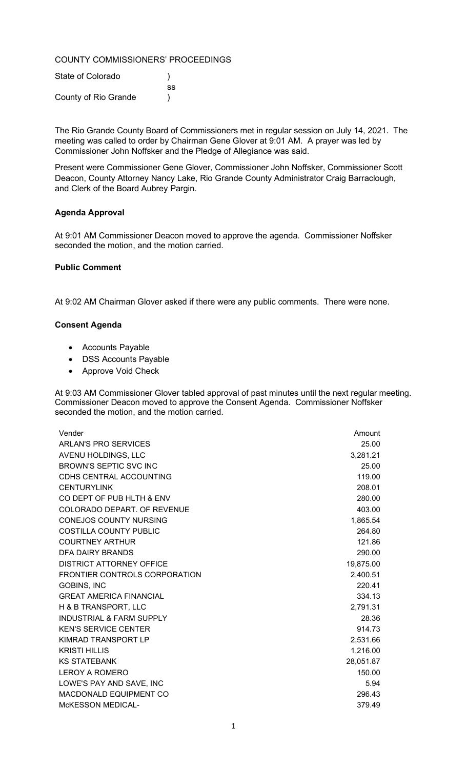# COUNTY COMMISSIONERS' PROCEEDINGS

| State of Colorado    |     |
|----------------------|-----|
|                      | SS. |
| County of Rio Grande |     |

The Rio Grande County Board of Commissioners met in regular session on July 14, 2021. The meeting was called to order by Chairman Gene Glover at 9:01 AM. A prayer was led by Commissioner John Noffsker and the Pledge of Allegiance was said.

Present were Commissioner Gene Glover, Commissioner John Noffsker, Commissioner Scott Deacon, County Attorney Nancy Lake, Rio Grande County Administrator Craig Barraclough, and Clerk of the Board Aubrey Pargin.

# Agenda Approval

At 9:01 AM Commissioner Deacon moved to approve the agenda. Commissioner Noffsker seconded the motion, and the motion carried.

# Public Comment

At 9:02 AM Chairman Glover asked if there were any public comments. There were none.

# Consent Agenda

- Accounts Payable
- DSS Accounts Payable
- Approve Void Check

At 9:03 AM Commissioner Glover tabled approval of past minutes until the next regular meeting. Commissioner Deacon moved to approve the Consent Agenda. Commissioner Noffsker seconded the motion, and the motion carried.

| <b>ARLAN'S PRO SERVICES</b><br>AVENU HOLDINGS, LLC<br>BROWN'S SEPTIC SVC INC<br><b>CDHS CENTRAL ACCOUNTING</b><br><b>CENTURYLINK</b><br>CO DEPT OF PUB HLTH & ENV<br>COLORADO DEPART. OF REVENUE<br><b>CONEJOS COUNTY NURSING</b><br><b>COSTILLA COUNTY PUBLIC</b><br><b>COURTNEY ARTHUR</b><br>DFA DAIRY BRANDS<br><b>DISTRICT ATTORNEY OFFICE</b><br>FRONTIER CONTROLS CORPORATION<br><b>GOBINS, INC</b><br><b>GREAT AMERICA FINANCIAL</b><br>H & B TRANSPORT, LLC<br><b>INDUSTRIAL &amp; FARM SUPPLY</b><br><b>KEN'S SERVICE CENTER</b><br>KIMRAD TRANSPORT LP<br><b>KRISTI HILLIS</b><br><b>KS STATEBANK</b><br><b>LEROY A ROMERO</b><br>LOWE'S PAY AND SAVE, INC<br>MACDONALD EQUIPMENT CO<br><b>McKESSON MEDICAL-</b> | Vender | Amount    |
|-----------------------------------------------------------------------------------------------------------------------------------------------------------------------------------------------------------------------------------------------------------------------------------------------------------------------------------------------------------------------------------------------------------------------------------------------------------------------------------------------------------------------------------------------------------------------------------------------------------------------------------------------------------------------------------------------------------------------------|--------|-----------|
|                                                                                                                                                                                                                                                                                                                                                                                                                                                                                                                                                                                                                                                                                                                             |        | 25.00     |
|                                                                                                                                                                                                                                                                                                                                                                                                                                                                                                                                                                                                                                                                                                                             |        | 3,281.21  |
|                                                                                                                                                                                                                                                                                                                                                                                                                                                                                                                                                                                                                                                                                                                             |        | 25.00     |
|                                                                                                                                                                                                                                                                                                                                                                                                                                                                                                                                                                                                                                                                                                                             |        | 119.00    |
|                                                                                                                                                                                                                                                                                                                                                                                                                                                                                                                                                                                                                                                                                                                             |        | 208.01    |
|                                                                                                                                                                                                                                                                                                                                                                                                                                                                                                                                                                                                                                                                                                                             |        | 280.00    |
|                                                                                                                                                                                                                                                                                                                                                                                                                                                                                                                                                                                                                                                                                                                             |        | 403.00    |
|                                                                                                                                                                                                                                                                                                                                                                                                                                                                                                                                                                                                                                                                                                                             |        | 1,865.54  |
|                                                                                                                                                                                                                                                                                                                                                                                                                                                                                                                                                                                                                                                                                                                             |        | 264.80    |
|                                                                                                                                                                                                                                                                                                                                                                                                                                                                                                                                                                                                                                                                                                                             |        | 121.86    |
|                                                                                                                                                                                                                                                                                                                                                                                                                                                                                                                                                                                                                                                                                                                             |        | 290.00    |
|                                                                                                                                                                                                                                                                                                                                                                                                                                                                                                                                                                                                                                                                                                                             |        | 19,875.00 |
|                                                                                                                                                                                                                                                                                                                                                                                                                                                                                                                                                                                                                                                                                                                             |        | 2,400.51  |
|                                                                                                                                                                                                                                                                                                                                                                                                                                                                                                                                                                                                                                                                                                                             |        | 220.41    |
|                                                                                                                                                                                                                                                                                                                                                                                                                                                                                                                                                                                                                                                                                                                             |        | 334.13    |
|                                                                                                                                                                                                                                                                                                                                                                                                                                                                                                                                                                                                                                                                                                                             |        | 2,791.31  |
|                                                                                                                                                                                                                                                                                                                                                                                                                                                                                                                                                                                                                                                                                                                             |        | 28.36     |
|                                                                                                                                                                                                                                                                                                                                                                                                                                                                                                                                                                                                                                                                                                                             |        | 914.73    |
|                                                                                                                                                                                                                                                                                                                                                                                                                                                                                                                                                                                                                                                                                                                             |        | 2,531.66  |
|                                                                                                                                                                                                                                                                                                                                                                                                                                                                                                                                                                                                                                                                                                                             |        | 1,216.00  |
|                                                                                                                                                                                                                                                                                                                                                                                                                                                                                                                                                                                                                                                                                                                             |        | 28,051.87 |
|                                                                                                                                                                                                                                                                                                                                                                                                                                                                                                                                                                                                                                                                                                                             |        | 150.00    |
|                                                                                                                                                                                                                                                                                                                                                                                                                                                                                                                                                                                                                                                                                                                             |        | 5.94      |
|                                                                                                                                                                                                                                                                                                                                                                                                                                                                                                                                                                                                                                                                                                                             |        | 296.43    |
|                                                                                                                                                                                                                                                                                                                                                                                                                                                                                                                                                                                                                                                                                                                             |        | 379.49    |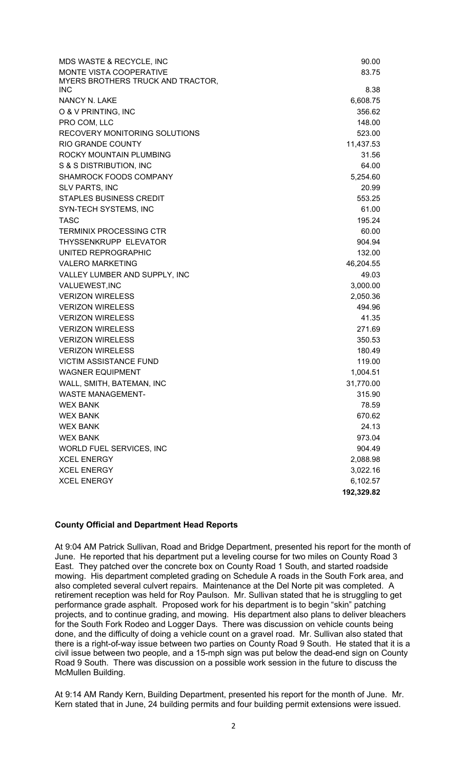| MDS WASTE & RECYCLE, INC          | 90.00      |
|-----------------------------------|------------|
| MONTE VISTA COOPERATIVE           | 83.75      |
| MYERS BROTHERS TRUCK AND TRACTOR, |            |
| <b>INC</b>                        | 8.38       |
| NANCY N. LAKE                     | 6,608.75   |
| O & V PRINTING, INC               | 356.62     |
| PRO COM, LLC                      | 148.00     |
| RECOVERY MONITORING SOLUTIONS     | 523.00     |
| <b>RIO GRANDE COUNTY</b>          | 11,437.53  |
| ROCKY MOUNTAIN PLUMBING           | 31.56      |
| S & S DISTRIBUTION, INC           | 64.00      |
| SHAMROCK FOODS COMPANY            | 5,254.60   |
| <b>SLV PARTS, INC</b>             | 20.99      |
| <b>STAPLES BUSINESS CREDIT</b>    | 553.25     |
| SYN-TECH SYSTEMS, INC             | 61.00      |
| <b>TASC</b>                       | 195.24     |
| <b>TERMINIX PROCESSING CTR</b>    | 60.00      |
| THYSSENKRUPP ELEVATOR             | 904.94     |
| UNITED REPROGRAPHIC               | 132.00     |
| <b>VALERO MARKETING</b>           | 46,204.55  |
| VALLEY LUMBER AND SUPPLY, INC     | 49.03      |
| VALUEWEST, INC                    | 3,000.00   |
| <b>VERIZON WIRELESS</b>           | 2,050.36   |
| <b>VERIZON WIRELESS</b>           | 494.96     |
| <b>VERIZON WIRELESS</b>           | 41.35      |
| <b>VERIZON WIRELESS</b>           | 271.69     |
| <b>VERIZON WIRELESS</b>           | 350.53     |
| <b>VERIZON WIRELESS</b>           | 180.49     |
| <b>VICTIM ASSISTANCE FUND</b>     | 119.00     |
| <b>WAGNER EQUIPMENT</b>           | 1,004.51   |
| WALL, SMITH, BATEMAN, INC         | 31,770.00  |
| <b>WASTE MANAGEMENT-</b>          | 315.90     |
| <b>WEX BANK</b>                   | 78.59      |
| <b>WEX BANK</b>                   | 670.62     |
| <b>WEX BANK</b>                   | 24.13      |
| <b>WEX BANK</b>                   | 973.04     |
| WORLD FUEL SERVICES, INC          | 904.49     |
| <b>XCEL ENERGY</b>                | 2,088.98   |
| <b>XCEL ENERGY</b>                | 3,022.16   |
| <b>XCEL ENERGY</b>                | 6,102.57   |
|                                   | 192,329.82 |

# County Official and Department Head Reports

At 9:04 AM Patrick Sullivan, Road and Bridge Department, presented his report for the month of June. He reported that his department put a leveling course for two miles on County Road 3 East. They patched over the concrete box on County Road 1 South, and started roadside mowing. His department completed grading on Schedule A roads in the South Fork area, and also completed several culvert repairs. Maintenance at the Del Norte pit was completed. A retirement reception was held for Roy Paulson. Mr. Sullivan stated that he is struggling to get performance grade asphalt. Proposed work for his department is to begin "skin" patching projects, and to continue grading, and mowing. His department also plans to deliver bleachers for the South Fork Rodeo and Logger Days. There was discussion on vehicle counts being done, and the difficulty of doing a vehicle count on a gravel road. Mr. Sullivan also stated that there is a right-of-way issue between two parties on County Road 9 South. He stated that it is a civil issue between two people, and a 15-mph sign was put below the dead-end sign on County Road 9 South. There was discussion on a possible work session in the future to discuss the McMullen Building.

At 9:14 AM Randy Kern, Building Department, presented his report for the month of June. Mr. Kern stated that in June, 24 building permits and four building permit extensions were issued.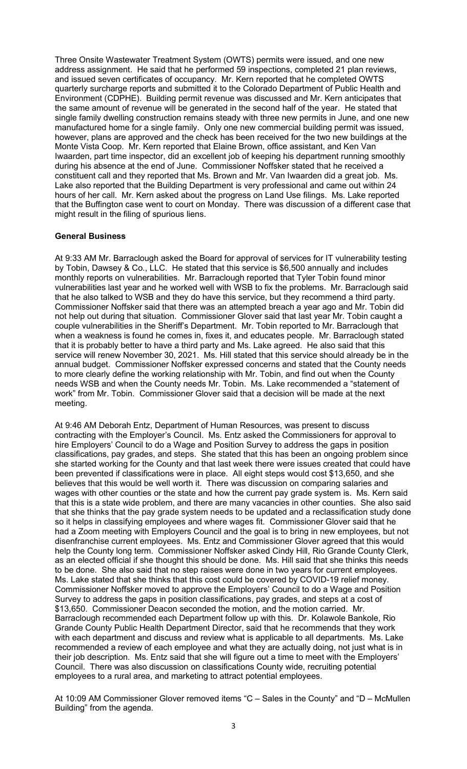Three Onsite Wastewater Treatment System (OWTS) permits were issued, and one new address assignment. He said that he performed 59 inspections, completed 21 plan reviews, and issued seven certificates of occupancy. Mr. Kern reported that he completed OWTS quarterly surcharge reports and submitted it to the Colorado Department of Public Health and Environment (CDPHE). Building permit revenue was discussed and Mr. Kern anticipates that the same amount of revenue will be generated in the second half of the year. He stated that single family dwelling construction remains steady with three new permits in June, and one new manufactured home for a single family. Only one new commercial building permit was issued, however, plans are approved and the check has been received for the two new buildings at the Monte Vista Coop. Mr. Kern reported that Elaine Brown, office assistant, and Ken Van Iwaarden, part time inspector, did an excellent job of keeping his department running smoothly during his absence at the end of June. Commissioner Noffsker stated that he received a constituent call and they reported that Ms. Brown and Mr. Van Iwaarden did a great job. Ms. Lake also reported that the Building Department is very professional and came out within 24 hours of her call. Mr. Kern asked about the progress on Land Use filings. Ms. Lake reported that the Buffington case went to court on Monday. There was discussion of a different case that might result in the filing of spurious liens.

# General Business

At 9:33 AM Mr. Barraclough asked the Board for approval of services for IT vulnerability testing by Tobin, Dawsey & Co., LLC. He stated that this service is \$6,500 annually and includes monthly reports on vulnerabilities. Mr. Barraclough reported that Tyler Tobin found minor vulnerabilities last year and he worked well with WSB to fix the problems. Mr. Barraclough said that he also talked to WSB and they do have this service, but they recommend a third party. Commissioner Noffsker said that there was an attempted breach a year ago and Mr. Tobin did not help out during that situation. Commissioner Glover said that last year Mr. Tobin caught a couple vulnerabilities in the Sheriff's Department. Mr. Tobin reported to Mr. Barraclough that when a weakness is found he comes in, fixes it, and educates people. Mr. Barraclough stated that it is probably better to have a third party and Ms. Lake agreed. He also said that this service will renew November 30, 2021. Ms. Hill stated that this service should already be in the annual budget. Commissioner Noffsker expressed concerns and stated that the County needs to more clearly define the working relationship with Mr. Tobin, and find out when the County needs WSB and when the County needs Mr. Tobin. Ms. Lake recommended a "statement of work" from Mr. Tobin. Commissioner Glover said that a decision will be made at the next meeting.

At 9:46 AM Deborah Entz, Department of Human Resources, was present to discuss contracting with the Employer's Council. Ms. Entz asked the Commissioners for approval to hire Employers' Council to do a Wage and Position Survey to address the gaps in position classifications, pay grades, and steps. She stated that this has been an ongoing problem since she started working for the County and that last week there were issues created that could have been prevented if classifications were in place. All eight steps would cost \$13,650, and she believes that this would be well worth it. There was discussion on comparing salaries and wages with other counties or the state and how the current pay grade system is. Ms. Kern said that this is a state wide problem, and there are many vacancies in other counties. She also said that she thinks that the pay grade system needs to be updated and a reclassification study done so it helps in classifying employees and where wages fit. Commissioner Glover said that he had a Zoom meeting with Employers Council and the goal is to bring in new employees, but not disenfranchise current employees. Ms. Entz and Commissioner Glover agreed that this would help the County long term. Commissioner Noffsker asked Cindy Hill, Rio Grande County Clerk, as an elected official if she thought this should be done. Ms. Hill said that she thinks this needs to be done. She also said that no step raises were done in two years for current employees. Ms. Lake stated that she thinks that this cost could be covered by COVID-19 relief money. Commissioner Noffsker moved to approve the Employers' Council to do a Wage and Position Survey to address the gaps in position classifications, pay grades, and steps at a cost of \$13,650. Commissioner Deacon seconded the motion, and the motion carried. Mr. Barraclough recommended each Department follow up with this. Dr. Kolawole Bankole, Rio Grande County Public Health Department Director, said that he recommends that they work with each department and discuss and review what is applicable to all departments. Ms. Lake recommended a review of each employee and what they are actually doing, not just what is in their job description. Ms. Entz said that she will figure out a time to meet with the Employers' Council. There was also discussion on classifications County wide, recruiting potential employees to a rural area, and marketing to attract potential employees.

At 10:09 AM Commissioner Glover removed items "C – Sales in the County" and "D – McMullen Building" from the agenda.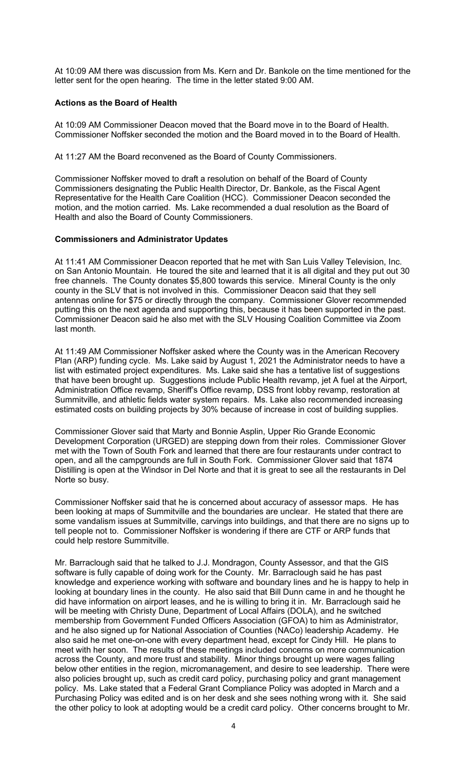At 10:09 AM there was discussion from Ms. Kern and Dr. Bankole on the time mentioned for the letter sent for the open hearing. The time in the letter stated 9:00 AM.

# Actions as the Board of Health

At 10:09 AM Commissioner Deacon moved that the Board move in to the Board of Health. Commissioner Noffsker seconded the motion and the Board moved in to the Board of Health.

At 11:27 AM the Board reconvened as the Board of County Commissioners.

Commissioner Noffsker moved to draft a resolution on behalf of the Board of County Commissioners designating the Public Health Director, Dr. Bankole, as the Fiscal Agent Representative for the Health Care Coalition (HCC). Commissioner Deacon seconded the motion, and the motion carried. Ms. Lake recommended a dual resolution as the Board of Health and also the Board of County Commissioners.

### Commissioners and Administrator Updates

At 11:41 AM Commissioner Deacon reported that he met with San Luis Valley Television, Inc. on San Antonio Mountain. He toured the site and learned that it is all digital and they put out 30 free channels. The County donates \$5,800 towards this service. Mineral County is the only county in the SLV that is not involved in this. Commissioner Deacon said that they sell antennas online for \$75 or directly through the company. Commissioner Glover recommended putting this on the next agenda and supporting this, because it has been supported in the past. Commissioner Deacon said he also met with the SLV Housing Coalition Committee via Zoom last month.

At 11:49 AM Commissioner Noffsker asked where the County was in the American Recovery Plan (ARP) funding cycle. Ms. Lake said by August 1, 2021 the Administrator needs to have a list with estimated project expenditures. Ms. Lake said she has a tentative list of suggestions that have been brought up. Suggestions include Public Health revamp, jet A fuel at the Airport, Administration Office revamp, Sheriff's Office revamp, DSS front lobby revamp, restoration at Summitville, and athletic fields water system repairs. Ms. Lake also recommended increasing estimated costs on building projects by 30% because of increase in cost of building supplies.

Commissioner Glover said that Marty and Bonnie Asplin, Upper Rio Grande Economic Development Corporation (URGED) are stepping down from their roles. Commissioner Glover met with the Town of South Fork and learned that there are four restaurants under contract to open, and all the campgrounds are full in South Fork. Commissioner Glover said that 1874 Distilling is open at the Windsor in Del Norte and that it is great to see all the restaurants in Del Norte so busy.

Commissioner Noffsker said that he is concerned about accuracy of assessor maps. He has been looking at maps of Summitville and the boundaries are unclear. He stated that there are some vandalism issues at Summitville, carvings into buildings, and that there are no signs up to tell people not to. Commissioner Noffsker is wondering if there are CTF or ARP funds that could help restore Summitville.

Mr. Barraclough said that he talked to J.J. Mondragon, County Assessor, and that the GIS software is fully capable of doing work for the County. Mr. Barraclough said he has past knowledge and experience working with software and boundary lines and he is happy to help in looking at boundary lines in the county. He also said that Bill Dunn came in and he thought he did have information on airport leases, and he is willing to bring it in. Mr. Barraclough said he will be meeting with Christy Dune, Department of Local Affairs (DOLA), and he switched membership from Government Funded Officers Association (GFOA) to him as Administrator, and he also signed up for National Association of Counties (NACo) leadership Academy. He also said he met one-on-one with every department head, except for Cindy Hill. He plans to meet with her soon. The results of these meetings included concerns on more communication across the County, and more trust and stability. Minor things brought up were wages falling below other entities in the region, micromanagement, and desire to see leadership. There were also policies brought up, such as credit card policy, purchasing policy and grant management policy. Ms. Lake stated that a Federal Grant Compliance Policy was adopted in March and a Purchasing Policy was edited and is on her desk and she sees nothing wrong with it. She said the other policy to look at adopting would be a credit card policy. Other concerns brought to Mr.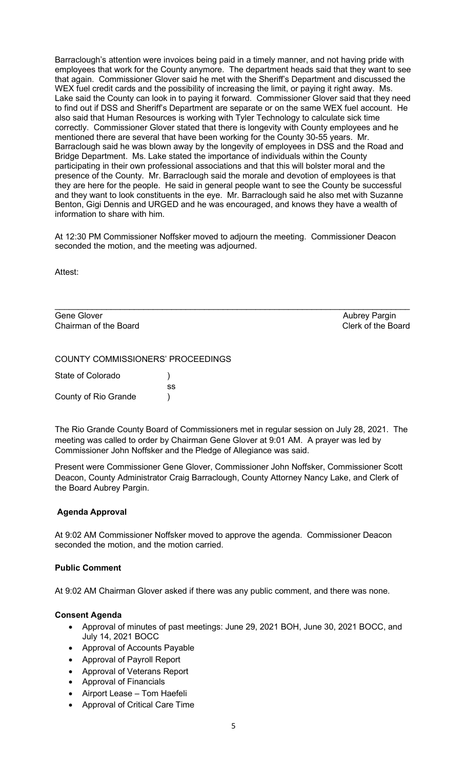Barraclough's attention were invoices being paid in a timely manner, and not having pride with employees that work for the County anymore. The department heads said that they want to see that again. Commissioner Glover said he met with the Sheriff's Department and discussed the WEX fuel credit cards and the possibility of increasing the limit, or paying it right away. Ms. Lake said the County can look in to paying it forward. Commissioner Glover said that they need to find out if DSS and Sheriff's Department are separate or on the same WEX fuel account. He also said that Human Resources is working with Tyler Technology to calculate sick time correctly. Commissioner Glover stated that there is longevity with County employees and he mentioned there are several that have been working for the County 30-55 years. Mr. Barraclough said he was blown away by the longevity of employees in DSS and the Road and Bridge Department. Ms. Lake stated the importance of individuals within the County participating in their own professional associations and that this will bolster moral and the presence of the County. Mr. Barraclough said the morale and devotion of employees is that they are here for the people. He said in general people want to see the County be successful and they want to look constituents in the eye. Mr. Barraclough said he also met with Suzanne Benton, Gigi Dennis and URGED and he was encouraged, and knows they have a wealth of information to share with him.

At 12:30 PM Commissioner Noffsker moved to adjourn the meeting. Commissioner Deacon seconded the motion, and the meeting was adjourned.

 $\mathcal{L}_\text{max}$  and  $\mathcal{L}_\text{max}$  and  $\mathcal{L}_\text{max}$  and  $\mathcal{L}_\text{max}$  and  $\mathcal{L}_\text{max}$  and  $\mathcal{L}_\text{max}$ 

Attest:

Gene Glover **Aubrey Pargin** Controller Aubrey Parain Aubrey Pargin Chairman of the Board Clerk of the Board

### COUNTY COMMISSIONERS' PROCEEDINGS

| State of Colorado    |     |  |
|----------------------|-----|--|
|                      | SS. |  |
| County of Rio Grande |     |  |

The Rio Grande County Board of Commissioners met in regular session on July 28, 2021. The meeting was called to order by Chairman Gene Glover at 9:01 AM. A prayer was led by Commissioner John Noffsker and the Pledge of Allegiance was said.

Present were Commissioner Gene Glover, Commissioner John Noffsker, Commissioner Scott Deacon, County Administrator Craig Barraclough, County Attorney Nancy Lake, and Clerk of the Board Aubrey Pargin.

# Agenda Approval

At 9:02 AM Commissioner Noffsker moved to approve the agenda. Commissioner Deacon seconded the motion, and the motion carried.

#### Public Comment

At 9:02 AM Chairman Glover asked if there was any public comment, and there was none.

#### Consent Agenda

- Approval of minutes of past meetings: June 29, 2021 BOH, June 30, 2021 BOCC, and July 14, 2021 BOCC
- Approval of Accounts Payable
- Approval of Payroll Report
- Approval of Veterans Report
- Approval of Financials
- Airport Lease Tom Haefeli
- Approval of Critical Care Time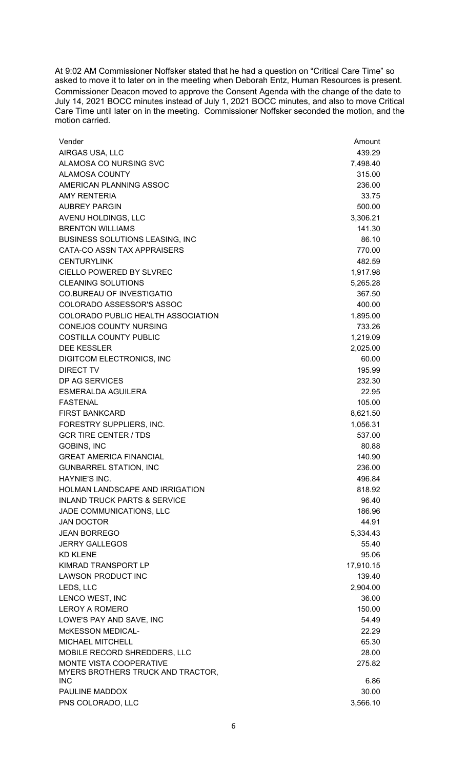At 9:02 AM Commissioner Noffsker stated that he had a question on "Critical Care Time" so asked to move it to later on in the meeting when Deborah Entz, Human Resources is present. Commissioner Deacon moved to approve the Consent Agenda with the change of the date to July 14, 2021 BOCC minutes instead of July 1, 2021 BOCC minutes, and also to move Critical Care Time until later on in the meeting. Commissioner Noffsker seconded the motion, and the motion carried.

| Vender                                    | Amount    |
|-------------------------------------------|-----------|
| AIRGAS USA, LLC                           | 439.29    |
| ALAMOSA CO NURSING SVC                    | 7,498.40  |
| ALAMOSA COUNTY                            | 315.00    |
| AMERICAN PLANNING ASSOC                   | 236.00    |
| <b>AMY RENTERIA</b>                       | 33.75     |
| <b>AUBREY PARGIN</b>                      | 500.00    |
| AVENU HOLDINGS, LLC                       | 3,306.21  |
| <b>BRENTON WILLIAMS</b>                   | 141.30    |
| <b>BUSINESS SOLUTIONS LEASING, INC</b>    | 86.10     |
| CATA-CO ASSN TAX APPRAISERS               | 770.00    |
| <b>CENTURYLINK</b>                        | 482.59    |
| <b>CIELLO POWERED BY SLVREC</b>           | 1,917.98  |
| <b>CLEANING SOLUTIONS</b>                 | 5,265.28  |
| <b>CO.BUREAU OF INVESTIGATIO</b>          | 367.50    |
| COLORADO ASSESSOR'S ASSOC                 | 400.00    |
| <b>COLORADO PUBLIC HEALTH ASSOCIATION</b> | 1,895.00  |
| <b>CONEJOS COUNTY NURSING</b>             | 733.26    |
| <b>COSTILLA COUNTY PUBLIC</b>             | 1,219.09  |
| <b>DEE KESSLER</b>                        | 2,025.00  |
| DIGITCOM ELECTRONICS, INC                 | 60.00     |
| <b>DIRECT TV</b>                          | 195.99    |
|                                           |           |
| DP AG SERVICES                            | 232.30    |
| <b>ESMERALDA AGUILERA</b>                 | 22.95     |
| <b>FASTENAL</b>                           | 105.00    |
| <b>FIRST BANKCARD</b>                     | 8,621.50  |
| FORESTRY SUPPLIERS, INC.                  | 1,056.31  |
| <b>GCR TIRE CENTER / TDS</b>              | 537.00    |
| <b>GOBINS, INC</b>                        | 80.88     |
| <b>GREAT AMERICA FINANCIAL</b>            | 140.90    |
| <b>GUNBARREL STATION, INC</b>             | 236.00    |
| HAYNIE'S INC.                             | 496.84    |
| <b>HOLMAN LANDSCAPE AND IRRIGATION</b>    | 818.92    |
| <b>INLAND TRUCK PARTS &amp; SERVICE</b>   | 96.40     |
| JADE COMMUNICATIONS, LLC                  | 186.96    |
| <b>JAN DOCTOR</b>                         | 44.91     |
| <b>JEAN BORREGO</b>                       | 5,334.43  |
| <b>JERRY GALLEGOS</b>                     | 55.40     |
| <b>KD KLENE</b>                           | 95.06     |
| KIMRAD TRANSPORT LP                       | 17,910.15 |
| <b>LAWSON PRODUCT INC</b>                 | 139.40    |
| LEDS, LLC                                 | 2,904.00  |
| LENCO WEST, INC                           | 36.00     |
| <b>LEROY A ROMERO</b>                     | 150.00    |
| LOWE'S PAY AND SAVE, INC                  | 54.49     |
| McKESSON MEDICAL-                         | 22.29     |
| MICHAEL MITCHELL                          | 65.30     |
| MOBILE RECORD SHREDDERS, LLC              | 28.00     |
| MONTE VISTA COOPERATIVE                   | 275.82    |
| MYERS BROTHERS TRUCK AND TRACTOR,         |           |
| <b>INC</b>                                | 6.86      |
| PAULINE MADDOX                            | 30.00     |
| PNS COLORADO, LLC                         | 3,566.10  |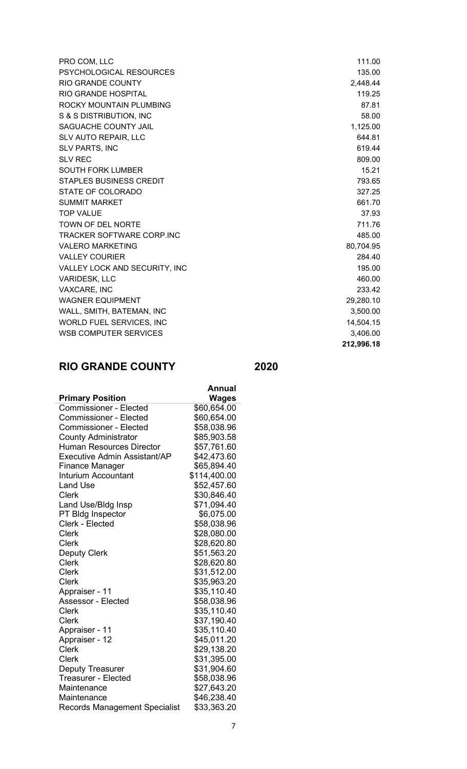| PRO COM, LLC                     | 111.00    |
|----------------------------------|-----------|
| PSYCHOLOGICAL RESOURCES          | 135.00    |
| <b>RIO GRANDE COUNTY</b>         | 2,448.44  |
| <b>RIO GRANDE HOSPITAL</b>       | 119.25    |
| ROCKY MOUNTAIN PLUMBING          | 87.81     |
| S & S DISTRIBUTION, INC          | 58.00     |
| SAGUACHE COUNTY JAIL             | 1,125.00  |
| SLV AUTO REPAIR, LLC             | 644.81    |
| <b>SLV PARTS, INC</b>            | 619.44    |
| <b>SLV REC</b>                   | 809.00    |
| <b>SOUTH FORK LUMBER</b>         | 15.21     |
| <b>STAPLES BUSINESS CREDIT</b>   | 793.65    |
| STATE OF COLORADO                | 327.25    |
| <b>SUMMIT MARKET</b>             | 661.70    |
| <b>TOP VALUE</b>                 | 37.93     |
| <b>TOWN OF DEL NORTE</b>         | 711.76    |
| <b>TRACKER SOFTWARE CORP.INC</b> | 485.00    |
| <b>VALERO MARKETING</b>          | 80,704.95 |
| <b>VALLEY COURIER</b>            | 284.40    |
| VALLEY LOCK AND SECURITY, INC    | 195.00    |
| <b>VARIDESK, LLC</b>             | 460.00    |
| VAXCARE, INC                     | 233.42    |
| <b>WAGNER EQUIPMENT</b>          | 29,280.10 |
| WALL, SMITH, BATEMAN, INC        | 3,500.00  |
| WORLD FUEL SERVICES, INC         | 14,504.15 |
| <b>WSB COMPUTER SERVICES</b>     | 3,406.00  |
|                                  |           |

# 2,448.44 80,704.95 29,280.10  $3,500.00$ 14,504.15 212,996.18

# RIO GRANDE COUNTY 2020

|                                      | Annual       |
|--------------------------------------|--------------|
| <b>Primary Position</b>              | Wages        |
| <b>Commissioner - Elected</b>        | \$60,654.00  |
| <b>Commissioner - Elected</b>        | \$60,654.00  |
| <b>Commissioner - Elected</b>        | \$58,038.96  |
| <b>County Administrator</b>          | \$85,903.58  |
| <b>Human Resources Director</b>      | \$57,761.60  |
| <b>Executive Admin Assistant/AP</b>  | \$42,473.60  |
| <b>Finance Manager</b>               | \$65,894.40  |
| <b>Inturium Accountant</b>           | \$114,400.00 |
| <b>Land Use</b>                      | \$52,457.60  |
| <b>Clerk</b>                         | \$30,846.40  |
| Land Use/Bldg Insp                   | \$71,094.40  |
| PT Bldg Inspector                    | \$6,075.00   |
| Clerk - Elected                      | \$58,038.96  |
| <b>Clerk</b>                         | \$28,080.00  |
| Clerk                                | \$28,620.80  |
| <b>Deputy Clerk</b>                  | \$51,563.20  |
| <b>Clerk</b>                         | \$28,620.80  |
| <b>Clerk</b>                         | \$31,512.00  |
| <b>Clerk</b>                         | \$35,963.20  |
| Appraiser - 11                       | \$35,110.40  |
| <b>Assessor - Elected</b>            | \$58,038.96  |
| <b>Clerk</b>                         | \$35,110.40  |
| <b>Clerk</b>                         | \$37,190.40  |
| Appraiser - 11                       | \$35,110.40  |
| Appraiser - 12                       | \$45,011.20  |
| <b>Clerk</b>                         | \$29,138.20  |
| <b>Clerk</b>                         | \$31,395.00  |
| Deputy Treasurer                     | \$31,904.60  |
| <b>Treasurer - Elected</b>           | \$58,038.96  |
| Maintenance                          | \$27,643.20  |
| Maintenance                          | \$46,238.40  |
| <b>Records Management Specialist</b> | \$33,363.20  |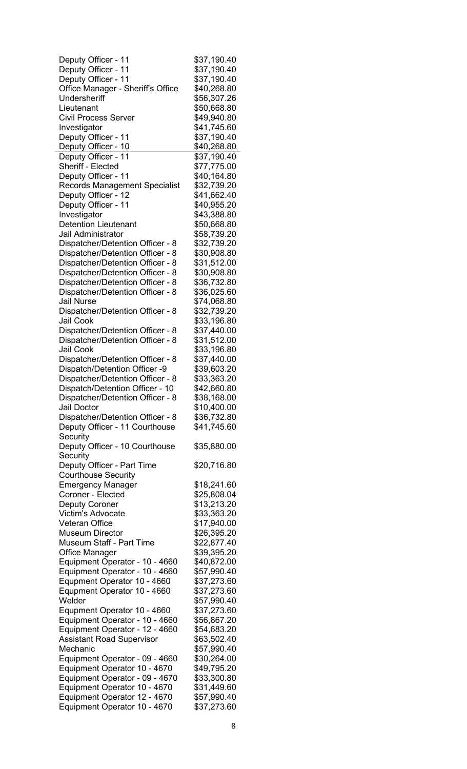| Deputy Officer - 11                  | \$37,190.40 |
|--------------------------------------|-------------|
| Deputy Officer - 11                  | \$37,190.40 |
| Deputy Officer - 11                  | \$37,190.40 |
| Office Manager - Sheriff's Office    | \$40,268.80 |
| Undersheriff                         | \$56,307.26 |
| Lieutenant                           | \$50,668.80 |
| <b>Civil Process Server</b>          |             |
|                                      | \$49,940.80 |
| Investigator                         | \$41,745.60 |
| Deputy Officer - 11                  | \$37,190.40 |
| Deputy Officer - 10                  | \$40,268.80 |
| Deputy Officer - 11                  | \$37,190.40 |
| Sheriff - Elected                    | \$77,775.00 |
| Deputy Officer - 11                  | \$40,164.80 |
| <b>Records Management Specialist</b> | \$32,739.20 |
| Deputy Officer - 12                  | \$41,662.40 |
| Deputy Officer - 11                  | \$40,955.20 |
| Investigator                         | \$43,388.80 |
| <b>Detention Lieutenant</b>          | \$50,668.80 |
| Jail Administrator                   |             |
|                                      | \$58,739.20 |
| Dispatcher/Detention Officer - 8     | \$32,739.20 |
| Dispatcher/Detention Officer - 8     | \$30,908.80 |
| Dispatcher/Detention Officer - 8     | \$31,512.00 |
| Dispatcher/Detention Officer - 8     | \$30,908.80 |
| Dispatcher/Detention Officer - 8     | \$36,732.80 |
| Dispatcher/Detention Officer - 8     | \$36,025.60 |
| <b>Jail Nurse</b>                    | \$74,068.80 |
| Dispatcher/Detention Officer - 8     | \$32,739.20 |
| <b>Jail Cook</b>                     | \$33,196.80 |
| Dispatcher/Detention Officer - 8     | \$37,440.00 |
| Dispatcher/Detention Officer - 8     | \$31,512.00 |
| <b>Jail Cook</b>                     |             |
|                                      | \$33,196.80 |
| Dispatcher/Detention Officer - 8     | \$37,440.00 |
| Dispatch/Detention Officer -9        | \$39,603.20 |
| Dispatcher/Detention Officer - 8     | \$33,363.20 |
| Dispatch/Detention Officer - 10      | \$42,660.80 |
| Dispatcher/Detention Officer - 8     | \$38,168.00 |
| Jail Doctor                          | \$10,400.00 |
| Dispatcher/Detention Officer - 8     | \$36,732.80 |
| Deputy Officer - 11 Courthouse       | \$41,745.60 |
| Security                             |             |
| Deputy Officer - 10 Courthouse       | \$35,880.00 |
| Security                             |             |
| Deputy Officer - Part Time           | \$20,716.80 |
| <b>Courthouse Security</b>           |             |
| <b>Emergency Manager</b>             | \$18,241.60 |
| Coroner - Elected                    | \$25,808.04 |
| <b>Deputy Coroner</b>                | \$13,213.20 |
| <b>Victim's Advocate</b>             | \$33,363.20 |
|                                      |             |
| <b>Veteran Office</b>                | \$17,940.00 |
| <b>Museum Director</b>               | \$26,395.20 |
| <b>Museum Staff - Part Time</b>      | \$22,877.40 |
| <b>Office Manager</b>                | \$39,395.20 |
| Equipment Operator - 10 - 4660       | \$40,872.00 |
| Equipment Operator - 10 - 4660       | \$57,990.40 |
| Equpment Operator 10 - 4660          | \$37,273.60 |
| Equpment Operator 10 - 4660          | \$37,273.60 |
| Welder                               | \$57,990.40 |
| Equpment Operator 10 - 4660          | \$37,273.60 |
| Equipment Operator - 10 - 4660       | \$56,867.20 |
| Equipment Operator - 12 - 4660       | \$54,683.20 |
| <b>Assistant Road Supervisor</b>     | \$63,502.40 |
| Mechanic                             | \$57,990.40 |
| Equipment Operator - 09 - 4660       | \$30,264.00 |
| Equipment Operator 10 - 4670         | \$49,795.20 |
| Equipment Operator - 09 - 4670       | \$33,300.80 |
| Equipment Operator 10 - 4670         | \$31,449.60 |
| Equipment Operator 12 - 4670         | \$57,990.40 |
|                                      |             |
| Equipment Operator 10 - 4670         | \$37,273.60 |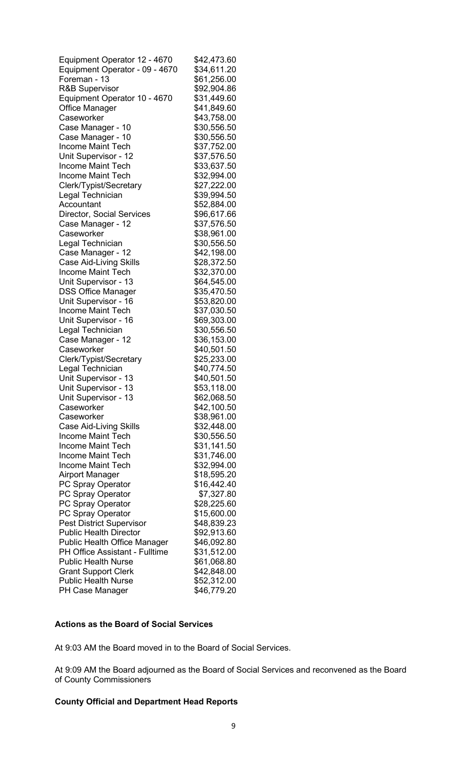| Equipment Operator 12 - 4670        | \$42,473.60 |
|-------------------------------------|-------------|
| Equipment Operator - 09 - 4670      | \$34,611.20 |
| Foreman - 13                        | \$61,256.00 |
| <b>R&amp;B Supervisor</b>           | \$92,904.86 |
| Equipment Operator 10 - 4670        | \$31,449.60 |
| <b>Office Manager</b>               | \$41,849.60 |
| Caseworker                          | \$43,758.00 |
| Case Manager - 10                   | \$30,556.50 |
| Case Manager - 10                   | \$30,556.50 |
| <b>Income Maint Tech</b>            | \$37,752.00 |
| Unit Supervisor - 12                | \$37,576.50 |
| <b>Income Maint Tech</b>            | \$33,637.50 |
| <b>Income Maint Tech</b>            | \$32,994.00 |
| Clerk/Typist/Secretary              | \$27,222.00 |
| Legal Technician                    | \$39,994.50 |
| Accountant                          | \$52,884.00 |
| <b>Director, Social Services</b>    | \$96,617.66 |
| Case Manager - 12                   | \$37,576.50 |
| Caseworker                          | \$38,961.00 |
| Legal Technician                    | \$30,556.50 |
| Case Manager - 12                   | \$42,198.00 |
| <b>Case Aid-Living Skills</b>       | \$28,372.50 |
| <b>Income Maint Tech</b>            | \$32,370.00 |
| Unit Supervisor - 13                | \$64,545.00 |
| <b>DSS Office Manager</b>           | \$35,470.50 |
| Unit Supervisor - 16                | \$53,820.00 |
| <b>Income Maint Tech</b>            | \$37,030.50 |
| Unit Supervisor - 16                | \$69,303.00 |
| Legal Technician                    | \$30,556.50 |
| Case Manager - 12                   | \$36,153.00 |
| Caseworker                          | \$40,501.50 |
| Clerk/Typist/Secretary              | \$25,233.00 |
| Legal Technician                    | \$40,774.50 |
| Unit Supervisor - 13                | \$40,501.50 |
| Unit Supervisor - 13                | \$53,118.00 |
| Unit Supervisor - 13                | \$62,068.50 |
| Caseworker                          | \$42,100.50 |
| Caseworker                          | \$38,961.00 |
| <b>Case Aid-Living Skills</b>       | \$32,448.00 |
| <b>Income Maint Tech</b>            | \$30,556.50 |
| <b>Income Maint Tech</b>            | \$31,141.50 |
| <b>Income Maint Tech</b>            | \$31,746.00 |
| <b>Income Maint Tech</b>            | \$32,994.00 |
| <b>Airport Manager</b>              | \$18,595.20 |
| PC Spray Operator                   | \$16,442.40 |
| PC Spray Operator                   | \$7,327.80  |
| PC Spray Operator                   | \$28,225.60 |
| PC Spray Operator                   | \$15,600.00 |
| <b>Pest District Supervisor</b>     | \$48,839.23 |
| <b>Public Health Director</b>       | \$92,913.60 |
| <b>Public Health Office Manager</b> | \$46,092.80 |
| PH Office Assistant - Fulltime      | \$31,512.00 |
| <b>Public Health Nurse</b>          | \$61,068.80 |
| <b>Grant Support Clerk</b>          | \$42,848.00 |
| <b>Public Health Nurse</b>          | \$52,312.00 |
| PH Case Manager                     | \$46,779.20 |

# Actions as the Board of Social Services

At 9:03 AM the Board moved in to the Board of Social Services.

At 9:09 AM the Board adjourned as the Board of Social Services and reconvened as the Board of County Commissioners

# County Official and Department Head Reports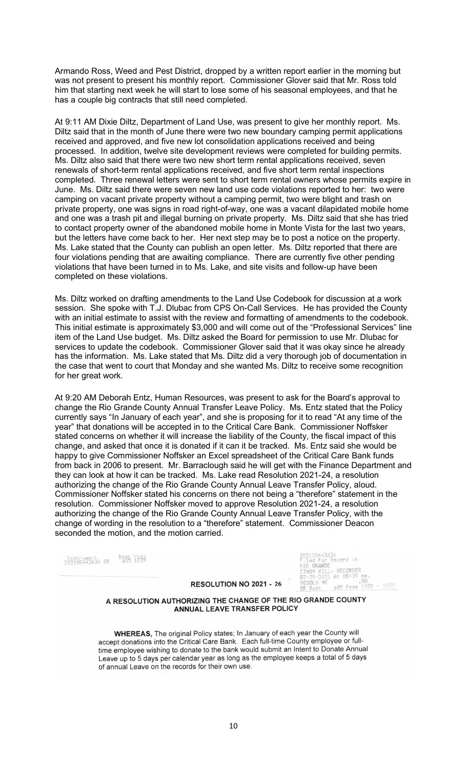Armando Ross, Weed and Pest District, dropped by a written report earlier in the morning but was not present to present his monthly report. Commissioner Glover said that Mr. Ross told him that starting next week he will start to lose some of his seasonal employees, and that he has a couple big contracts that still need completed.

At 9:11 AM Dixie Diltz, Department of Land Use, was present to give her monthly report. Ms. Diltz said that in the month of June there were two new boundary camping permit applications received and approved, and five new lot consolidation applications received and being processed. In addition, twelve site development reviews were completed for building permits. Ms. Diltz also said that there were two new short term rental applications received, seven renewals of short-term rental applications received, and five short term rental inspections completed. Three renewal letters were sent to short term rental owners whose permits expire in June. Ms. Diltz said there were seven new land use code violations reported to her: two were camping on vacant private property without a camping permit, two were blight and trash on private property, one was signs in road right-of-way, one was a vacant dilapidated mobile home and one was a trash pit and illegal burning on private property. Ms. Diltz said that she has tried to contact property owner of the abandoned mobile home in Monte Vista for the last two years, but the letters have come back to her. Her next step may be to post a notice on the property. Ms. Lake stated that the County can publish an open letter. Ms. Diltz reported that there are four violations pending that are awaiting compliance. There are currently five other pending violations that have been turned in to Ms. Lake, and site visits and follow-up have been completed on these violations.

Ms. Diltz worked on drafting amendments to the Land Use Codebook for discussion at a work session. She spoke with T.J. Dlubac from CPS On-Call Services. He has provided the County with an initial estimate to assist with the review and formatting of amendments to the codebook. This initial estimate is approximately \$3,000 and will come out of the "Professional Services" line item of the Land Use budget. Ms. Diltz asked the Board for permission to use Mr. Dlubac for services to update the codebook. Commissioner Glover said that it was okay since he already has the information. Ms. Lake stated that Ms. Diltz did a very thorough job of documentation in the case that went to court that Monday and she wanted Ms. Diltz to receive some recognition for her great work.

At 9:20 AM Deborah Entz, Human Resources, was present to ask for the Board's approval to change the Rio Grande County Annual Transfer Leave Policy. Ms. Entz stated that the Policy currently says "In January of each year", and she is proposing for it to read "At any time of the year" that donations will be accepted in to the Critical Care Bank. Commissioner Noffsker stated concerns on whether it will increase the liability of the County, the fiscal impact of this change, and asked that once it is donated if it can it be tracked. Ms. Entz said she would be happy to give Commissioner Noffsker an Excel spreadsheet of the Critical Care Bank funds from back in 2006 to present. Mr. Barraclough said he will get with the Finance Department and they can look at how it can be tracked. Ms. Lake read Resolution 2021-24, a resolution authorizing the change of the Rio Grande County Annual Leave Transfer Policy, aloud. Commissioner Noffsker stated his concerns on there not being a "therefore" statement in the resolution. Commissioner Noffsker moved to approve Resolution 2021-24, a resolution authorizing the change of the Rio Grande County Annual Leave Transfer Policy, with the change of wording in the resolution to a "therefore" statement. Commissioner Deacon seconded the motion, and the motion carried.

**BORE 1859**  $2<sup>195</sup>$   $10443634$  OR

#### RESOLUTION NO 2021 - 26

1100443634<br>Led for Record in<br>1 GRANDE<br>NDY HILL, RECORDE RECORDER At 08:39 am.<br>00<br>605 Pase 1039 - 1039

#### A RESOLUTION AUTHORIZING THE CHANGE OF THE RIO GRANDE COUNTY ANNUAL LEAVE TRANSFER POLICY

WHEREAS, The original Policy states; In January of each year the County will accept donations into the Critical Care Bank. Each full-time County employee or fulltime employee wishing to donate to the bank would submit an Intent to Donate Annual Leave up to 5 days per calendar year as long as the employee keeps a total of 5 days of annual Leave on the records for their own use.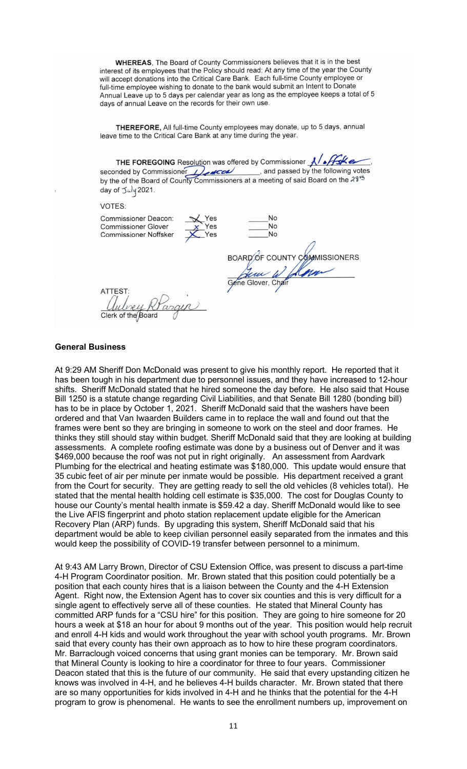**WHEREAS.** The Board of County Commissioners believes that it is in the best interest of its employees that the Policy should read; At any time of the year the County will accept donations into the Critical Care Bank. Each full-time County employee or full-time employee wishing to donate to the bank would submit an Intent to Donate Annual Leave up to 5 days per calendar year as long as the employee keeps a total of 5 days of annual Leave on the records for their own use.

THEREFORE, All full-time County employees may donate, up to 5 days, annual leave time to the Critical Care Bank at any time during the year.

THE FOREGOING Resolution was offered by Commissioner  $\sqrt{\sqrt{f_s k}}$ seconded by Commissioner and passed by the following votes<br>by the of the Board of County Commissioners at a meeting of said Board on the  $23^{\frac{14}{2}}$ day of July 2021.

X Yes

VOTES:

**Commissioner Deacon: Commissioner Glover Commissioner Noffsker** 

**No** No BOARD OF COUNTY COMMISSIONERS<br>Gene Glover, Chair

ATTES<sup>-</sup>

#### General Business

At 9:29 AM Sheriff Don McDonald was present to give his monthly report. He reported that it has been tough in his department due to personnel issues, and they have increased to 12-hour shifts. Sheriff McDonald stated that he hired someone the day before. He also said that House Bill 1250 is a statute change regarding Civil Liabilities, and that Senate Bill 1280 (bonding bill) has to be in place by October 1, 2021. Sheriff McDonald said that the washers have been ordered and that Van Iwaarden Builders came in to replace the wall and found out that the frames were bent so they are bringing in someone to work on the steel and door frames. He thinks they still should stay within budget. Sheriff McDonald said that they are looking at building assessments. A complete roofing estimate was done by a business out of Denver and it was \$469,000 because the roof was not put in right originally. An assessment from Aardvark Plumbing for the electrical and heating estimate was \$180,000. This update would ensure that 35 cubic feet of air per minute per inmate would be possible. His department received a grant from the Court for security. They are getting ready to sell the old vehicles (8 vehicles total). He stated that the mental health holding cell estimate is \$35,000. The cost for Douglas County to house our County's mental health inmate is \$59.42 a day. Sheriff McDonald would like to see the Live AFIS fingerprint and photo station replacement update eligible for the American Recovery Plan (ARP) funds. By upgrading this system, Sheriff McDonald said that his department would be able to keep civilian personnel easily separated from the inmates and this would keep the possibility of COVID-19 transfer between personnel to a minimum.

At 9:43 AM Larry Brown, Director of CSU Extension Office, was present to discuss a part-time 4-H Program Coordinator position. Mr. Brown stated that this position could potentially be a position that each county hires that is a liaison between the County and the 4-H Extension Agent. Right now, the Extension Agent has to cover six counties and this is very difficult for a single agent to effectively serve all of these counties. He stated that Mineral County has committed ARP funds for a "CSU hire" for this position. They are going to hire someone for 20 hours a week at \$18 an hour for about 9 months out of the year. This position would help recruit and enroll 4-H kids and would work throughout the year with school youth programs. Mr. Brown said that every county has their own approach as to how to hire these program coordinators. Mr. Barraclough voiced concerns that using grant monies can be temporary. Mr. Brown said that Mineral County is looking to hire a coordinator for three to four years. Commissioner Deacon stated that this is the future of our community. He said that every upstanding citizen he knows was involved in 4-H, and he believes 4-H builds character. Mr. Brown stated that there are so many opportunities for kids involved in 4-H and he thinks that the potential for the 4-H program to grow is phenomenal. He wants to see the enrollment numbers up, improvement on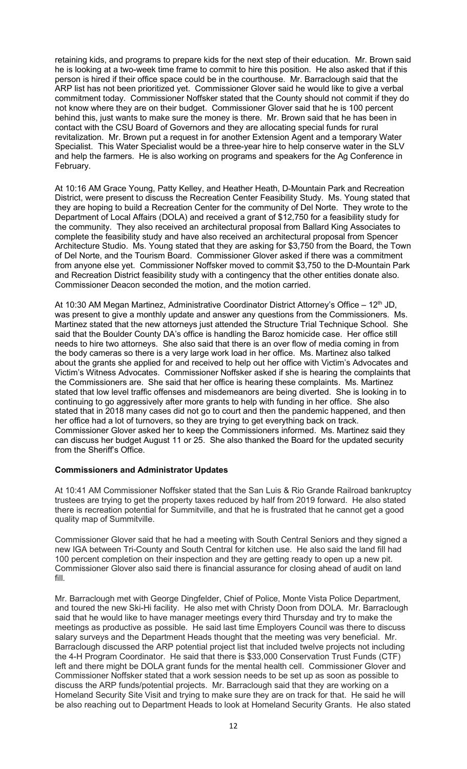retaining kids, and programs to prepare kids for the next step of their education. Mr. Brown said he is looking at a two-week time frame to commit to hire this position. He also asked that if this person is hired if their office space could be in the courthouse. Mr. Barraclough said that the ARP list has not been prioritized yet. Commissioner Glover said he would like to give a verbal commitment today. Commissioner Noffsker stated that the County should not commit if they do not know where they are on their budget. Commissioner Glover said that he is 100 percent behind this, just wants to make sure the money is there. Mr. Brown said that he has been in contact with the CSU Board of Governors and they are allocating special funds for rural revitalization. Mr. Brown put a request in for another Extension Agent and a temporary Water Specialist. This Water Specialist would be a three-year hire to help conserve water in the SLV and help the farmers. He is also working on programs and speakers for the Ag Conference in February.

At 10:16 AM Grace Young, Patty Kelley, and Heather Heath, D-Mountain Park and Recreation District, were present to discuss the Recreation Center Feasibility Study. Ms. Young stated that they are hoping to build a Recreation Center for the community of Del Norte. They wrote to the Department of Local Affairs (DOLA) and received a grant of \$12,750 for a feasibility study for the community. They also received an architectural proposal from Ballard King Associates to complete the feasibility study and have also received an architectural proposal from Spencer Architecture Studio. Ms. Young stated that they are asking for \$3,750 from the Board, the Town of Del Norte, and the Tourism Board. Commissioner Glover asked if there was a commitment from anyone else yet. Commissioner Noffsker moved to commit \$3,750 to the D-Mountain Park and Recreation District feasibility study with a contingency that the other entities donate also. Commissioner Deacon seconded the motion, and the motion carried.

At 10:30 AM Megan Martinez, Administrative Coordinator District Attorney's Office – 12<sup>th</sup> JD, was present to give a monthly update and answer any questions from the Commissioners. Ms. Martinez stated that the new attorneys just attended the Structure Trial Technique School. She said that the Boulder County DA's office is handling the Baroz homicide case. Her office still needs to hire two attorneys. She also said that there is an over flow of media coming in from the body cameras so there is a very large work load in her office. Ms. Martinez also talked about the grants she applied for and received to help out her office with Victim's Advocates and Victim's Witness Advocates. Commissioner Noffsker asked if she is hearing the complaints that the Commissioners are. She said that her office is hearing these complaints. Ms. Martinez stated that low level traffic offenses and misdemeanors are being diverted. She is looking in to continuing to go aggressively after more grants to help with funding in her office. She also stated that in 2018 many cases did not go to court and then the pandemic happened, and then her office had a lot of turnovers, so they are trying to get everything back on track. Commissioner Glover asked her to keep the Commissioners informed. Ms. Martinez said they can discuss her budget August 11 or 25. She also thanked the Board for the updated security from the Sheriff's Office.

# Commissioners and Administrator Updates

At 10:41 AM Commissioner Noffsker stated that the San Luis & Rio Grande Railroad bankruptcy trustees are trying to get the property taxes reduced by half from 2019 forward. He also stated there is recreation potential for Summitville, and that he is frustrated that he cannot get a good quality map of Summitville.

Commissioner Glover said that he had a meeting with South Central Seniors and they signed a new IGA between Tri-County and South Central for kitchen use. He also said the land fill had 100 percent completion on their inspection and they are getting ready to open up a new pit. Commissioner Glover also said there is financial assurance for closing ahead of audit on land fill.

Mr. Barraclough met with George Dingfelder, Chief of Police, Monte Vista Police Department, and toured the new Ski-Hi facility. He also met with Christy Doon from DOLA. Mr. Barraclough said that he would like to have manager meetings every third Thursday and try to make the meetings as productive as possible. He said last time Employers Council was there to discuss salary surveys and the Department Heads thought that the meeting was very beneficial. Mr. Barraclough discussed the ARP potential project list that included twelve projects not including the 4-H Program Coordinator. He said that there is \$33,000 Conservation Trust Funds (CTF) left and there might be DOLA grant funds for the mental health cell. Commissioner Glover and Commissioner Noffsker stated that a work session needs to be set up as soon as possible to discuss the ARP funds/potential projects. Mr. Barraclough said that they are working on a Homeland Security Site Visit and trying to make sure they are on track for that. He said he will be also reaching out to Department Heads to look at Homeland Security Grants. He also stated